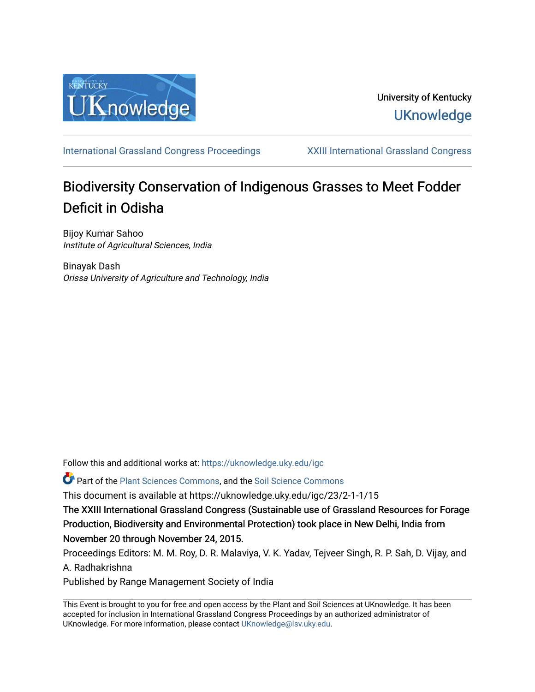

# University of Kentucky **UKnowledge**

[International Grassland Congress Proceedings](https://uknowledge.uky.edu/igc) [XXIII International Grassland Congress](https://uknowledge.uky.edu/igc/23) 

# Biodiversity Conservation of Indigenous Grasses to Meet Fodder Deficit in Odisha

Bijoy Kumar Sahoo Institute of Agricultural Sciences, India

Binayak Dash Orissa University of Agriculture and Technology, India

Follow this and additional works at: [https://uknowledge.uky.edu/igc](https://uknowledge.uky.edu/igc?utm_source=uknowledge.uky.edu%2Figc%2F23%2F2-1-1%2F15&utm_medium=PDF&utm_campaign=PDFCoverPages) 

Part of the [Plant Sciences Commons](http://network.bepress.com/hgg/discipline/102?utm_source=uknowledge.uky.edu%2Figc%2F23%2F2-1-1%2F15&utm_medium=PDF&utm_campaign=PDFCoverPages), and the [Soil Science Commons](http://network.bepress.com/hgg/discipline/163?utm_source=uknowledge.uky.edu%2Figc%2F23%2F2-1-1%2F15&utm_medium=PDF&utm_campaign=PDFCoverPages) 

This document is available at https://uknowledge.uky.edu/igc/23/2-1-1/15

The XXIII International Grassland Congress (Sustainable use of Grassland Resources for Forage Production, Biodiversity and Environmental Protection) took place in New Delhi, India from November 20 through November 24, 2015.

Proceedings Editors: M. M. Roy, D. R. Malaviya, V. K. Yadav, Tejveer Singh, R. P. Sah, D. Vijay, and A. Radhakrishna

Published by Range Management Society of India

This Event is brought to you for free and open access by the Plant and Soil Sciences at UKnowledge. It has been accepted for inclusion in International Grassland Congress Proceedings by an authorized administrator of UKnowledge. For more information, please contact [UKnowledge@lsv.uky.edu](mailto:UKnowledge@lsv.uky.edu).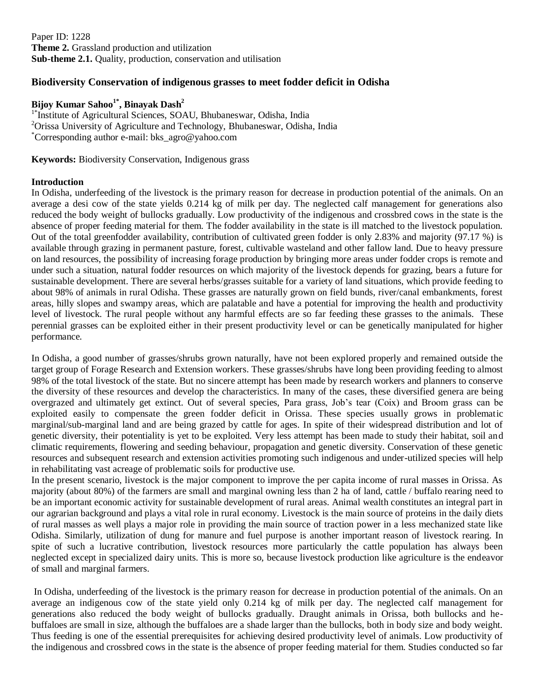Paper ID: 1228 **Theme 2.** Grassland production and utilization **Sub-theme 2.1.** Quality, production, conservation and utilisation

## **Biodiversity Conservation of indigenous grasses to meet fodder deficit in Odisha**

### **Bijoy Kumar Sahoo1\* , Binayak Dash<sup>2</sup>**

<sup>1\*</sup>Institute of Agricultural Sciences, SOAU, Bhubaneswar, Odisha, India <sup>2</sup>Orissa University of Agriculture and Technology, Bhubaneswar, Odisha, India \*Corresponding author e-mail: bks\_agro@yahoo.com

**Keywords:** Biodiversity Conservation, Indigenous grass

#### **Introduction**

In Odisha, underfeeding of the livestock is the primary reason for decrease in production potential of the animals. On an average a desi cow of the state yields 0.214 kg of milk per day. The neglected calf management for generations also reduced the body weight of bullocks gradually. Low productivity of the indigenous and crossbred cows in the state is the absence of proper feeding material for them. The fodder availability in the state is ill matched to the livestock population. Out of the total greenfodder availability, contribution of cultivated green fodder is only 2.83% and majority (97.17 %) is available through grazing in permanent pasture, forest, cultivable wasteland and other fallow land. Due to heavy pressure on land resources, the possibility of increasing forage production by bringing more areas under fodder crops is remote and under such a situation, natural fodder resources on which majority of the livestock depends for grazing, bears a future for sustainable development. There are several herbs/grasses suitable for a variety of land situations, which provide feeding to about 98% of animals in rural Odisha. These grasses are naturally grown on field bunds, river/canal embankments, forest areas, hilly slopes and swampy areas, which are palatable and have a potential for improving the health and productivity level of livestock. The rural people without any harmful effects are so far feeding these grasses to the animals. These perennial grasses can be exploited either in their present productivity level or can be genetically manipulated for higher performance.

In Odisha, a good number of grasses/shrubs grown naturally, have not been explored properly and remained outside the target group of Forage Research and Extension workers. These grasses/shrubs have long been providing feeding to almost 98% of the total livestock of the state. But no sincere attempt has been made by research workers and planners to conserve the diversity of these resources and develop the characteristics. In many of the cases, these diversified genera are being overgrazed and ultimately get extinct. Out of several species, Para grass, Job's tear (Coix) and Broom grass can be exploited easily to compensate the green fodder deficit in Orissa. These species usually grows in problematic marginal/sub-marginal land and are being grazed by cattle for ages. In spite of their widespread distribution and lot of genetic diversity, their potentiality is yet to be exploited. Very less attempt has been made to study their habitat, soil and climatic requirements, flowering and seeding behaviour, propagation and genetic diversity. Conservation of these genetic resources and subsequent research and extension activities promoting such indigenous and under-utilized species will help in rehabilitating vast acreage of problematic soils for productive use.

In the present scenario, livestock is the major component to improve the per capita income of rural masses in Orissa. As majority (about 80%) of the farmers are small and marginal owning less than 2 ha of land, cattle / buffalo rearing need to be an important economic activity for sustainable development of rural areas. Animal wealth constitutes an integral part in our agrarian background and plays a vital role in rural economy. Livestock is the main source of proteins in the daily diets of rural masses as well plays a major role in providing the main source of traction power in a less mechanized state like Odisha. Similarly, utilization of dung for manure and fuel purpose is another important reason of livestock rearing. In spite of such a lucrative contribution, livestock resources more particularly the cattle population has always been neglected except in specialized dairy units. This is more so, because livestock production like agriculture is the endeavor of small and marginal farmers.

In Odisha, underfeeding of the livestock is the primary reason for decrease in production potential of the animals. On an average an indigenous cow of the state yield only 0.214 kg of milk per day. The neglected calf management for generations also reduced the body weight of bullocks gradually. Draught animals in Orissa, both bullocks and hebuffaloes are small in size, although the buffaloes are a shade larger than the bullocks, both in body size and body weight. Thus feeding is one of the essential prerequisites for achieving desired productivity level of animals. Low productivity of the indigenous and crossbred cows in the state is the absence of proper feeding material for them. Studies conducted so far